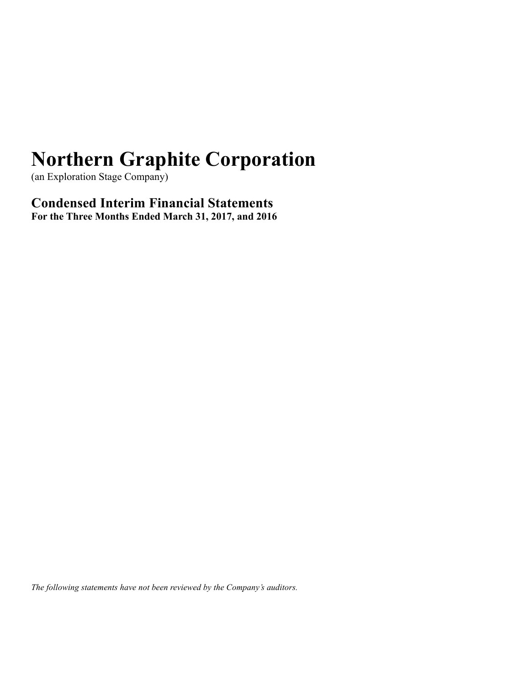# **Northern Graphite Corporation**

(an Exploration Stage Company)

**Condensed Interim Financial Statements For the Three Months Ended March 31, 2017, and 2016**

*The following statements have not been reviewed by the Company's auditors.*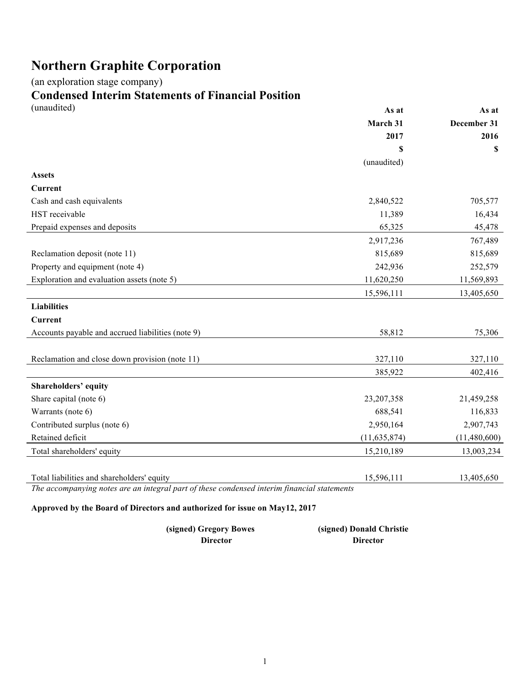## **Northern Graphite Corporation**

### (an exploration stage company)

## **Condensed Interim Statements of Financial Position**

| (unaudited)                                       | As at          | As at        |
|---------------------------------------------------|----------------|--------------|
|                                                   | March 31       | December 31  |
|                                                   | 2017           | 2016         |
|                                                   | S              | \$           |
|                                                   | (unaudited)    |              |
| <b>Assets</b>                                     |                |              |
| Current                                           |                |              |
| Cash and cash equivalents                         | 2,840,522      | 705,577      |
| HST receivable                                    | 11,389         | 16,434       |
| Prepaid expenses and deposits                     | 65,325         | 45,478       |
|                                                   | 2,917,236      | 767,489      |
| Reclamation deposit (note 11)                     | 815,689        | 815,689      |
| Property and equipment (note 4)                   | 242,936        | 252,579      |
| Exploration and evaluation assets (note 5)        | 11,620,250     | 11,569,893   |
|                                                   | 15,596,111     | 13,405,650   |
| <b>Liabilities</b>                                |                |              |
| <b>Current</b>                                    |                |              |
| Accounts payable and accrued liabilities (note 9) | 58,812         | 75,306       |
|                                                   |                |              |
| Reclamation and close down provision (note 11)    | 327,110        | 327,110      |
|                                                   | 385,922        | 402,416      |
| <b>Shareholders' equity</b>                       |                |              |
| Share capital (note 6)                            | 23, 207, 358   | 21,459,258   |
| Warrants (note 6)                                 | 688,541        | 116,833      |
| Contributed surplus (note 6)                      | 2,950,164      | 2,907,743    |
| Retained deficit                                  | (11, 635, 874) | (11,480,600) |
| Total shareholders' equity                        | 15,210,189     | 13,003,234   |
|                                                   |                |              |
| Total liabilities and shareholders' equity        | 15,596,111     | 13,405,650   |

*The accompanying notes are an integral part of these condensed interim financial statements* 

#### **Approved by the Board of Directors and authorized for issue on May12, 2017**

| (signed) Gregory Bowes | (signed) Donald Christie |
|------------------------|--------------------------|
| <b>Director</b>        | Director                 |